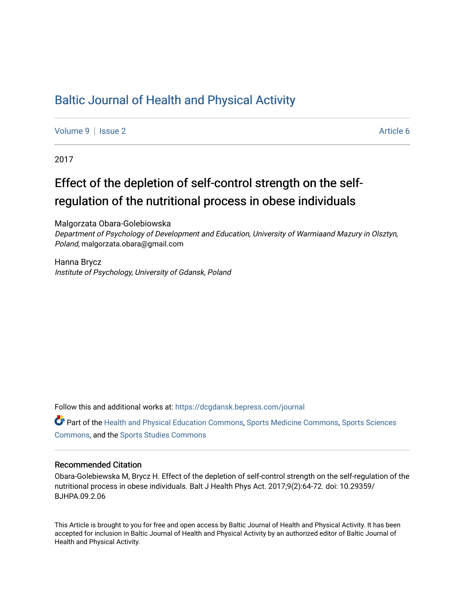## [Baltic Journal of Health and Physical Activity](https://dcgdansk.bepress.com/journal)

[Volume 9](https://dcgdansk.bepress.com/journal/vol9) | [Issue 2](https://dcgdansk.bepress.com/journal/vol9/iss2) Article 6

2017

## Effect of the depletion of self-control strength on the selfregulation of the nutritional process in obese individuals

Malgorzata Obara-Golebiowska

Department of Psychology of Development and Education, University of Warmiaand Mazury in Olsztyn, Poland, malgorzata.obara@gmail.com

Hanna Brycz Institute of Psychology, University of Gdansk, Poland

Follow this and additional works at: [https://dcgdansk.bepress.com/journal](https://dcgdansk.bepress.com/journal?utm_source=dcgdansk.bepress.com%2Fjournal%2Fvol9%2Fiss2%2F6&utm_medium=PDF&utm_campaign=PDFCoverPages)

Part of the [Health and Physical Education Commons](http://network.bepress.com/hgg/discipline/1327?utm_source=dcgdansk.bepress.com%2Fjournal%2Fvol9%2Fiss2%2F6&utm_medium=PDF&utm_campaign=PDFCoverPages), [Sports Medicine Commons,](http://network.bepress.com/hgg/discipline/1331?utm_source=dcgdansk.bepress.com%2Fjournal%2Fvol9%2Fiss2%2F6&utm_medium=PDF&utm_campaign=PDFCoverPages) [Sports Sciences](http://network.bepress.com/hgg/discipline/759?utm_source=dcgdansk.bepress.com%2Fjournal%2Fvol9%2Fiss2%2F6&utm_medium=PDF&utm_campaign=PDFCoverPages) [Commons](http://network.bepress.com/hgg/discipline/759?utm_source=dcgdansk.bepress.com%2Fjournal%2Fvol9%2Fiss2%2F6&utm_medium=PDF&utm_campaign=PDFCoverPages), and the [Sports Studies Commons](http://network.bepress.com/hgg/discipline/1198?utm_source=dcgdansk.bepress.com%2Fjournal%2Fvol9%2Fiss2%2F6&utm_medium=PDF&utm_campaign=PDFCoverPages) 

#### Recommended Citation

Obara-Golebiewska M, Brycz H. Effect of the depletion of self-control strength on the self-regulation of the nutritional process in obese individuals. Balt J Health Phys Act. 2017;9(2):64-72. doi: 10.29359/ BJHPA.09.2.06

This Article is brought to you for free and open access by Baltic Journal of Health and Physical Activity. It has been accepted for inclusion in Baltic Journal of Health and Physical Activity by an authorized editor of Baltic Journal of Health and Physical Activity.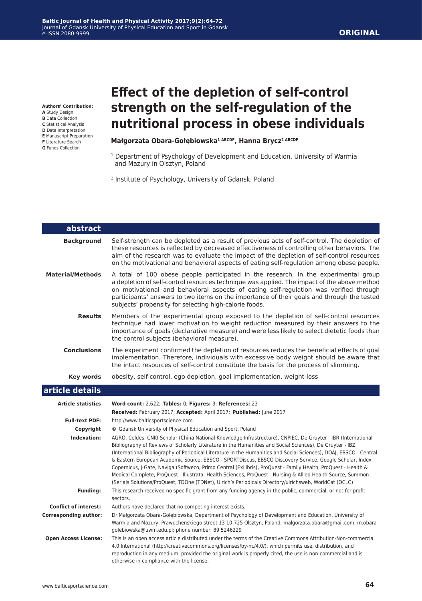**ORIGINAL**

**Authors' Contribution:**

- **A** Study Design
- **B** Data Collection
- **C** Statistical Analysis **D** Data Interpretation
- **E** Manuscript Preparation
- **F** Literature Search **G** Funds Collection

# **Effect of the depletion of self-control strength on the self-regulation of the nutritional process in obese individuals**

#### **Małgorzata Obara-Gołębiowska1 ABCDF, Hanna Brycz2 ABCDF**

- <sup>1</sup> Department of Psychology of Development and Education, University of Warmia and Mazury in Olsztyn, Poland
- 2 Institute of Psychology, University of Gdansk, Poland

| abstract                     |                                                                                                                                                                                                                                                                                                                                                                                                                                                                                                                                                                                                                                                                                                                                                                                                      |
|------------------------------|------------------------------------------------------------------------------------------------------------------------------------------------------------------------------------------------------------------------------------------------------------------------------------------------------------------------------------------------------------------------------------------------------------------------------------------------------------------------------------------------------------------------------------------------------------------------------------------------------------------------------------------------------------------------------------------------------------------------------------------------------------------------------------------------------|
| <b>Background</b>            | Self-strength can be depleted as a result of previous acts of self-control. The depletion of<br>these resources is reflected by decreased effectiveness of controlling other behaviors. The<br>aim of the research was to evaluate the impact of the depletion of self-control resources<br>on the motivational and behavioral aspects of eating self-regulation among obese people.                                                                                                                                                                                                                                                                                                                                                                                                                 |
| <b>Material/Methods</b>      | A total of 100 obese people participated in the research. In the experimental group<br>a depletion of self-control resources technique was applied. The impact of the above method<br>on motivational and behavioral aspects of eating self-regulation was verified through<br>participants' answers to two items on the importance of their goals and through the tested<br>subjects' propensity for selecting high-calorie foods.                                                                                                                                                                                                                                                                                                                                                                  |
| <b>Results</b>               | Members of the experimental group exposed to the depletion of self-control resources<br>technique had lower motivation to weight reduction measured by their answers to the<br>importance of goals (declarative measure) and were less likely to select dietetic foods than<br>the control subjects (behavioral measure).                                                                                                                                                                                                                                                                                                                                                                                                                                                                            |
| <b>Conclusions</b>           | The experiment confirmed the depletion of resources reduces the beneficial effects of goal<br>implementation. Therefore, individuals with excessive body weight should be aware that<br>the intact resources of self-control constitute the basis for the process of slimming.                                                                                                                                                                                                                                                                                                                                                                                                                                                                                                                       |
| <b>Key words</b>             | obesity, self-control, ego depletion, goal implementation, weight-loss                                                                                                                                                                                                                                                                                                                                                                                                                                                                                                                                                                                                                                                                                                                               |
| article details              |                                                                                                                                                                                                                                                                                                                                                                                                                                                                                                                                                                                                                                                                                                                                                                                                      |
| <b>Article statistics</b>    | Word count: 2,622; Tables: 0; Figures: 3; References: 23                                                                                                                                                                                                                                                                                                                                                                                                                                                                                                                                                                                                                                                                                                                                             |
|                              | Received: February 2017; Accepted: April 2017; Published: June 2017                                                                                                                                                                                                                                                                                                                                                                                                                                                                                                                                                                                                                                                                                                                                  |
| <b>Full-text PDF:</b>        | http://www.balticsportscience.com                                                                                                                                                                                                                                                                                                                                                                                                                                                                                                                                                                                                                                                                                                                                                                    |
| Copyright                    | © Gdansk University of Physical Education and Sport, Poland                                                                                                                                                                                                                                                                                                                                                                                                                                                                                                                                                                                                                                                                                                                                          |
| Indexation:                  | AGRO, Celdes, CNKI Scholar (China National Knowledge Infrastructure), CNPIEC, De Gruyter - IBR (International<br>Bibliography of Reviews of Scholarly Literature in the Humanities and Social Sciences), De Gruyter - IBZ<br>(International Bibliography of Periodical Literature in the Humanities and Social Sciences), DOAJ, EBSCO - Central<br>& Eastern European Academic Source, EBSCO - SPORTDiscus, EBSCO Discovery Service, Google Scholar, Index<br>Copernicus, J-Gate, Naviga (Softweco, Primo Central (ExLibris), ProQuest - Family Health, ProQuest - Health &<br>Medical Complete, ProQuest - Illustrata: Health Sciences, ProQuest - Nursing & Allied Health Source, Summon<br>(Serials Solutions/ProQuest, TDOne (TDNet), Ulrich's Periodicals Directory/ulrichsweb, WorldCat (OCLC) |
| <b>Funding:</b>              | This research received no specific grant from any funding agency in the public, commercial, or not-for-profit<br>sectors.                                                                                                                                                                                                                                                                                                                                                                                                                                                                                                                                                                                                                                                                            |
| <b>Conflict of interest:</b> | Authors have declared that no competing interest exists.                                                                                                                                                                                                                                                                                                                                                                                                                                                                                                                                                                                                                                                                                                                                             |
| <b>Corresponding author:</b> | Dr Małgorzata Obara-Gołębiowska, Department of Psychology of Development and Education, University of<br>Warmia and Mazury, Prawochenskiego street 13 10-725 Olsztyn, Poland; malgorzata.obara@gmail.com, m.obara-<br>golebiowska@uwm.edu.pl; phone number: 89 5246229                                                                                                                                                                                                                                                                                                                                                                                                                                                                                                                               |
| <b>Open Access License:</b>  | This is an open access article distributed under the terms of the Creative Commons Attribution-Non-commercial<br>4.0 International (http://creativecommons.org/licenses/by-nc/4.0/), which permits use, distribution, and<br>reproduction in any medium, provided the original work is properly cited, the use is non-commercial and is<br>otherwise in compliance with the license.                                                                                                                                                                                                                                                                                                                                                                                                                 |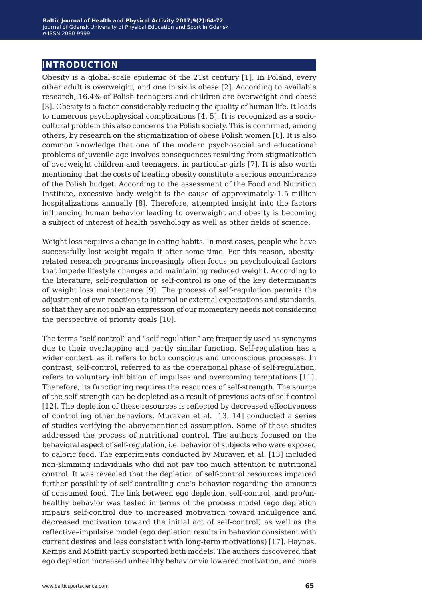## **introduction**

Obesity is a global-scale epidemic of the 21st century [1]. In Poland, every other adult is overweight, and one in six is obese [2]. According to available research, 16.4% of Polish teenagers and children are overweight and obese [3]. Obesity is a factor considerably reducing the quality of human life. It leads to numerous psychophysical complications [4, 5]. It is recognized as a sociocultural problem this also concerns the Polish society. This is confirmed, among others, by research on the stigmatization of obese Polish women [6]. It is also common knowledge that one of the modern psychosocial and educational problems of juvenile age involves consequences resulting from stigmatization of overweight children and teenagers, in particular girls [7]. It is also worth mentioning that the costs of treating obesity constitute a serious encumbrance of the Polish budget. According to the assessment of the Food and Nutrition Institute, excessive body weight is the cause of approximately 1.5 million hospitalizations annually [8]. Therefore, attempted insight into the factors influencing human behavior leading to overweight and obesity is becoming a subject of interest of health psychology as well as other fields of science.

Weight loss requires a change in eating habits. In most cases, people who have successfully lost weight regain it after some time. For this reason, obesityrelated research programs increasingly often focus on psychological factors that impede lifestyle changes and maintaining reduced weight. According to the literature, self-regulation or self-control is one of the key determinants of weight loss maintenance [9]. The process of self-regulation permits the adjustment of own reactions to internal or external expectations and standards, so that they are not only an expression of our momentary needs not considering the perspective of priority goals [10].

The terms "self-control" and "self-regulation" are frequently used as synonyms due to their overlapping and partly similar function. Self-regulation has a wider context, as it refers to both conscious and unconscious processes. In contrast, self-control, referred to as the operational phase of self-regulation, refers to voluntary inhibition of impulses and overcoming temptations [11]. Therefore, its functioning requires the resources of self-strength. The source of the self-strength can be depleted as a result of previous acts of self-control [12]. The depletion of these resources is reflected by decreased effectiveness of controlling other behaviors. Muraven et al. [13, 14] conducted a series of studies verifying the abovementioned assumption. Some of these studies addressed the process of nutritional control. The authors focused on the behavioral aspect of self-regulation, i.e. behavior of subjects who were exposed to caloric food. The experiments conducted by Muraven et al. [13] included non-slimming individuals who did not pay too much attention to nutritional control. It was revealed that the depletion of self-control resources impaired further possibility of self-controlling one's behavior regarding the amounts of consumed food. The link between ego depletion, self-control, and pro/unhealthy behavior was tested in terms of the process model (ego depletion impairs self-control due to increased motivation toward indulgence and decreased motivation toward the initial act of self-control) as well as the reflective–impulsive model (ego depletion results in behavior consistent with current desires and less consistent with long-term motivations) [17]. Haynes, Kemps and Moffitt partly supported both models. The authors discovered that ego depletion increased unhealthy behavior via lowered motivation, and more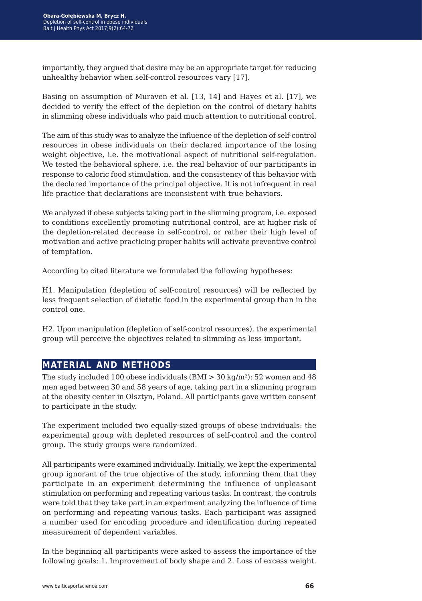importantly, they argued that desire may be an appropriate target for reducing unhealthy behavior when self-control resources vary [17].

Basing on assumption of Muraven et al. [13, 14] and Hayes et al. [17], we decided to verify the effect of the depletion on the control of dietary habits in slimming obese individuals who paid much attention to nutritional control.

The aim of this study was to analyze the influence of the depletion of self-control resources in obese individuals on their declared importance of the losing weight objective, i.e. the motivational aspect of nutritional self-regulation. We tested the behavioral sphere, i.e. the real behavior of our participants in response to caloric food stimulation, and the consistency of this behavior with the declared importance of the principal objective. It is not infrequent in real life practice that declarations are inconsistent with true behaviors.

We analyzed if obese subjects taking part in the slimming program, i.e. exposed to conditions excellently promoting nutritional control, are at higher risk of the depletion-related decrease in self-control, or rather their high level of motivation and active practicing proper habits will activate preventive control of temptation.

According to cited literature we formulated the following hypotheses:

H1. Manipulation (depletion of self-control resources) will be reflected by less frequent selection of dietetic food in the experimental group than in the control one.

H2. Upon manipulation (depletion of self-control resources), the experimental group will perceive the objectives related to slimming as less important.

### **material and methods**

The study included 100 obese individuals  $(BMI > 30 \text{ kg/m}^2)$ : 52 women and 48 men aged between 30 and 58 years of age, taking part in a slimming program at the obesity center in Olsztyn, Poland. All participants gave written consent to participate in the study.

The experiment included two equally-sized groups of obese individuals: the experimental group with depleted resources of self-control and the control group. The study groups were randomized.

All participants were examined individually. Initially, we kept the experimental group ignorant of the true objective of the study, informing them that they participate in an experiment determining the influence of unpleasant stimulation on performing and repeating various tasks. In contrast, the controls were told that they take part in an experiment analyzing the influence of time on performing and repeating various tasks. Each participant was assigned a number used for encoding procedure and identification during repeated measurement of dependent variables.

In the beginning all participants were asked to assess the importance of the following goals: 1. Improvement of body shape and 2. Loss of excess weight.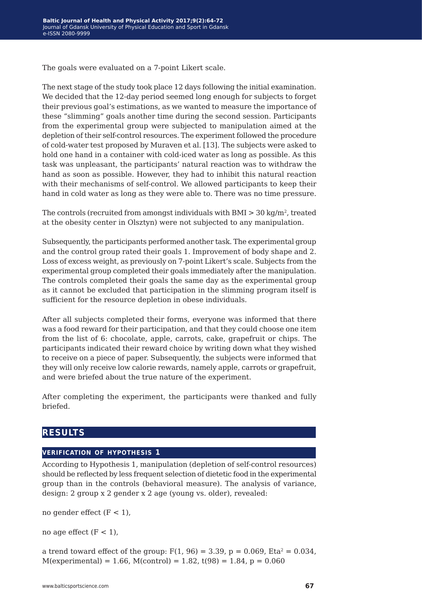The goals were evaluated on a 7-point Likert scale.

The next stage of the study took place 12 days following the initial examination. We decided that the 12-day period seemed long enough for subjects to forget their previous goal's estimations, as we wanted to measure the importance of these "slimming" goals another time during the second session. Participants from the experimental group were subjected to manipulation aimed at the depletion of their self-control resources. The experiment followed the procedure of cold-water test proposed by Muraven et al. [13]. The subjects were asked to hold one hand in a container with cold-iced water as long as possible. As this task was unpleasant, the participants' natural reaction was to withdraw the hand as soon as possible. However, they had to inhibit this natural reaction with their mechanisms of self-control. We allowed participants to keep their hand in cold water as long as they were able to. There was no time pressure.

The controls (recruited from amongst individuals with BMI  $>$  30 kg/m<sup>2</sup>, treated at the obesity center in Olsztyn) were not subjected to any manipulation.

Subsequently, the participants performed another task. The experimental group and the control group rated their goals 1. Improvement of body shape and 2. Loss of excess weight, as previously on 7-point Likert's scale. Subjects from the experimental group completed their goals immediately after the manipulation. The controls completed their goals the same day as the experimental group as it cannot be excluded that participation in the slimming program itself is sufficient for the resource depletion in obese individuals.

After all subjects completed their forms, everyone was informed that there was a food reward for their participation, and that they could choose one item from the list of 6: chocolate, apple, carrots, cake, grapefruit or chips. The participants indicated their reward choice by writing down what they wished to receive on a piece of paper. Subsequently, the subjects were informed that they will only receive low calorie rewards, namely apple, carrots or grapefruit, and were briefed about the true nature of the experiment.

After completing the experiment, the participants were thanked and fully briefed.

## **results**

#### **verification of hypothesis 1**

According to Hypothesis 1, manipulation (depletion of self-control resources) should be reflected by less frequent selection of dietetic food in the experimental group than in the controls (behavioral measure). The analysis of variance, design: 2 group x 2 gender x 2 age (young vs. older), revealed:

no gender effect  $(F < 1)$ ,

no age effect  $(F < 1)$ ,

a trend toward effect of the group:  $F(1, 96) = 3.39$ ,  $p = 0.069$ , Eta<sup>2</sup> = 0.034,  $M$ (experimental) = 1.66,  $M$ (control) = 1.82, t(98) = 1.84, p = 0.060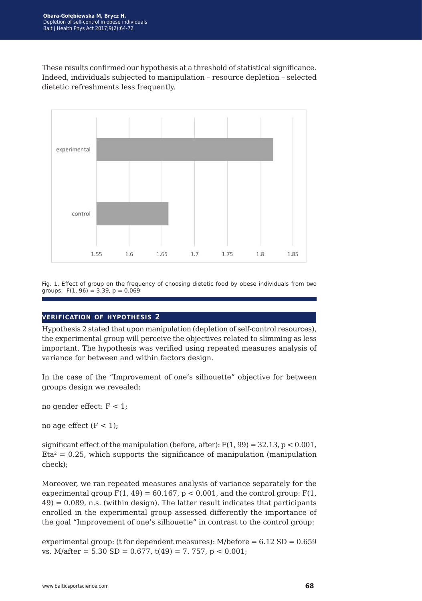These results confirmed our hypothesis at a threshold of statistical significance. Indeed, individuals subjected to manipulation – resource depletion – selected dietetic refreshments less frequently.



Fig. 1. Effect of group on the frequency of choosing dietetic food by obese individuals from two groups:  $F(1, 96) = 3.39$ ,  $p = 0.069$ 

#### **verification of hypothesis 2**

Hypothesis 2 stated that upon manipulation (depletion of self-control resources), the experimental group will perceive the objectives related to slimming as less important. The hypothesis was verified using repeated measures analysis of variance for between and within factors design.

In the case of the "Improvement of one's silhouette" objective for between groups design we revealed:

no gender effect:  $F < 1$ ;

no age effect  $(F < 1)$ ;

significant effect of the manipulation (before, after):  $F(1, 99) = 32.13$ ,  $p < 0.001$ ,  $Eta<sup>2</sup> = 0.25$ , which supports the significance of manipulation (manipulation check);

Moreover, we ran repeated measures analysis of variance separately for the experimental group  $F(1, 49) = 60.167$ ,  $p < 0.001$ , and the control group:  $F(1, 49) = 60.167$ ,  $p < 0.001$ , and the control group:  $49$ ) = 0.089, n.s. (within design). The latter result indicates that participants enrolled in the experimental group assessed differently the importance of the goal "Improvement of one's silhouette" in contrast to the control group:

experimental group: (t for dependent measures):  $M/before = 6.12 SD = 0.659$ vs. M/after =  $5.30$  SD =  $0.677$ ,  $t(49)$  =  $7.757$ ,  $p < 0.001$ ;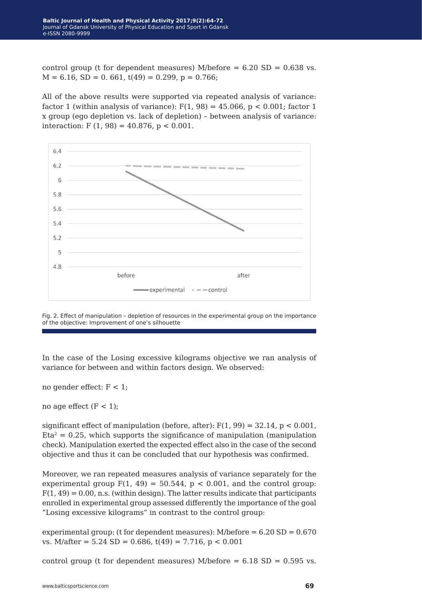control group (t for dependent measures) M/before  $= 6.20$  SD  $= 0.638$  vs.  $M = 6.16$ ,  $SD = 0.661$ ,  $t(49) = 0.299$ ,  $p = 0.766$ ;

All of the above results were supported via repeated analysis of variance: factor 1 (within analysis of variance):  $F(1, 98) = 45.066$ ,  $p < 0.001$ ; factor 1 x group (ego depletion vs. lack of depletion) – between analysis of variance: interaction:  $F(1, 98) = 40.876$ ,  $p < 0.001$ .



Fig. 2. Effect of manipulation – depletion of resources in the experimental group on the importance of the objective: Improvement of one's silhouette

In the case of the Losing excessive kilograms objective we ran analysis of variance for between and within factors design. We observed:

no gender effect:  $F < 1$ ;

no age effect  $(F < 1)$ ;

significant effect of manipulation (before, after):  $F(1, 99) = 32.14$ ,  $p < 0.001$ ,  $Eta<sup>2</sup> = 0.25$ , which supports the significance of manipulation (manipulation) check). Manipulation exerted the expected effect also in the case of the second objective and thus it can be concluded that our hypothesis was confirmed.

Moreover, we ran repeated measures analysis of variance separately for the experimental group  $F(1, 49) = 50.544$ ,  $p < 0.001$ , and the control group:  $F(1, 49) = 0.00$ , n.s. (within design). The latter results indicate that participants enrolled in experimental group assessed differently the importance of the goal "Losing excessive kilograms" in contrast to the control group:

experimental group: (t for dependent measures):  $M/before = 6.20 SD = 0.670$ vs. M/after =  $5.24$  SD = 0.686, t(49) = 7.716, p < 0.001

control group (t for dependent measures) M/before  $= 6.18$  SD  $= 0.595$  vs.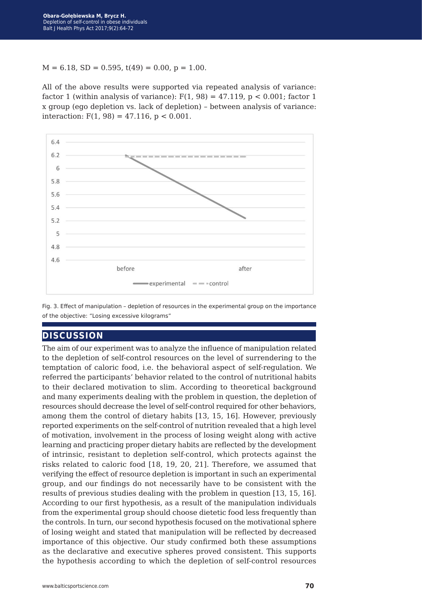$M = 6.18$ ,  $SD = 0.595$ ,  $t(49) = 0.00$ ,  $p = 1.00$ .

All of the above results were supported via repeated analysis of variance: factor 1 (within analysis of variance):  $F(1, 98) = 47.119$ ,  $p < 0.001$ ; factor 1 x group (ego depletion vs. lack of depletion) – between analysis of variance: interaction:  $F(1, 98) = 47.116$ ,  $p < 0.001$ .



Fig. 3. Effect of manipulation – depletion of resources in the experimental group on the importance of the objective: "Losing excessive kilograms"

## **discussion**

The aim of our experiment was to analyze the influence of manipulation related to the depletion of self-control resources on the level of surrendering to the temptation of caloric food, i.e. the behavioral aspect of self-regulation. We referred the participants' behavior related to the control of nutritional habits to their declared motivation to slim. According to theoretical background and many experiments dealing with the problem in question, the depletion of resources should decrease the level of self-control required for other behaviors, among them the control of dietary habits [13, 15, 16]. However, previously reported experiments on the self-control of nutrition revealed that a high level of motivation, involvement in the process of losing weight along with active learning and practicing proper dietary habits are reflected by the development of intrinsic, resistant to depletion self-control, which protects against the risks related to caloric food [18, 19, 20, 21]. Therefore, we assumed that verifying the effect of resource depletion is important in such an experimental group, and our findings do not necessarily have to be consistent with the results of previous studies dealing with the problem in question [13, 15, 16]. According to our first hypothesis, as a result of the manipulation individuals from the experimental group should choose dietetic food less frequently than the controls. In turn, our second hypothesis focused on the motivational sphere of losing weight and stated that manipulation will be reflected by decreased importance of this objective. Our study confirmed both these assumptions as the declarative and executive spheres proved consistent. This supports the hypothesis according to which the depletion of self-control resources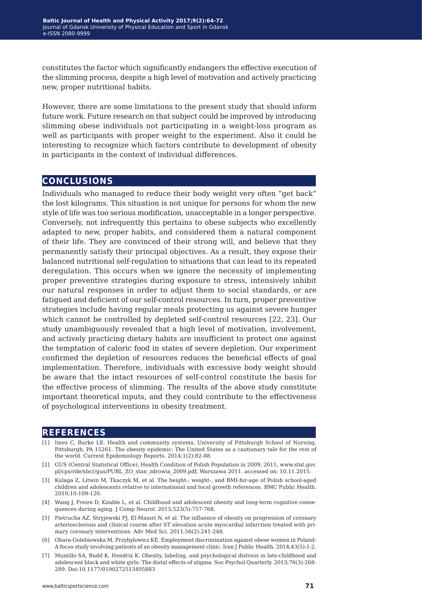constitutes the factor which significantly endangers the effective execution of the slimming process, despite a high level of motivation and actively practicing new, proper nutritional habits.

However, there are some limitations to the present study that should inform future work. Future research on that subject could be improved by introducing slimming obese individuals not participating in a weight-loss program as well as participants with proper weight to the experiment. Also it could be interesting to recognize which factors contribute to development of obesity in participants in the context of individual differences.

### **conclusions**

Individuals who managed to reduce their body weight very often "get back" the lost kilograms. This situation is not unique for persons for whom the new style of life was too serious modification, unacceptable in a longer perspective. Conversely, not infrequently this pertains to obese subjects who excellently adapted to new, proper habits, and considered them a natural component of their life. They are convinced of their strong will, and believe that they permanently satisfy their principal objectives. As a result, they expose their balanced nutritional self-regulation to situations that can lead to its repeated deregulation. This occurs when we ignore the necessity of implementing proper preventive strategies during exposure to stress, intensively inhibit our natural responses in order to adjust them to social standards, or are fatigued and deficient of our self-control resources. In turn, proper preventive strategies include having regular meals protecting us against severe hunger which cannot be controlled by depleted self-control resources [22, 23]. Our study unambiguously revealed that a high level of motivation, involvement, and actively practicing dietary habits are insufficient to protect one against the temptation of caloric food in states of severe depletion. Our experiment confirmed the depletion of resources reduces the beneficial effects of goal implementation. Therefore, individuals with excessive body weight should be aware that the intact resources of self-control constitute the basis for the effective process of slimming. The results of the above study constitute important theoretical inputs, and they could contribute to the effectiveness of psychological interventions in obesity treatment.

#### **references**

- [1] Imes C, Burke LE. Health and community systems, University of Pittsburgh School of Nursing, Pittsburgh, PA 15261. The obesity epidemic: The United States as a cautionary tale for the rest of the world. Current Epidemiology Reports. 2014;1(2):82-88.
- [2] GUS (Central Statistical Office), Health Condition of Polish Population in 2009, 2011, www.stat.gov. pl/cps/rde/xbcr/gus/PUBL\_ZO\_stan\_zdrowia\_2009.pdf, Warszawa 2011. accessed on: 10.11.2015.
- [3] Kulaga Z, Litwin M, Tkaczyk M, et al. The height-, weight-, and BMI-for-age of Polish school-aged children and adolescents relative to international and local growth references. BMC Public Health. 2010;10:109-120.
- [4] Wang J, Freire D, Knable L, et al. Childhood and adolescent obesity and long-term cognitive consequences during aging. J Comp Neurol. 2015;523(5):757-768.
- [5] Pietrucha AZ, Stryjewski PJ, El-Massri N, et al. The influence of obesity on progression of coronary arteriosclerosis and clinical course after ST elevation acute myocardial infarction treated with primary coronary interventions. Adv Med Sci. 2011;56(2):241-248.
- [6] Obara-Golebiowska M, Przybylowicz KE. Employment discrimination against obese women in Poland: A focus study involving patients of an obesity management clinic. Iran J Public Health. 2014;43(5):1-2.
- [7] Mustillo SA, Budd K, Hendrix K. Obesity, labeling, and psychological distress in late-childhood and adolescent black and white girls: The distal effects of stigma. Soc Psychol Quarterly. 2013;76(3):268- 289. Doi:10.1177/0190272513495883